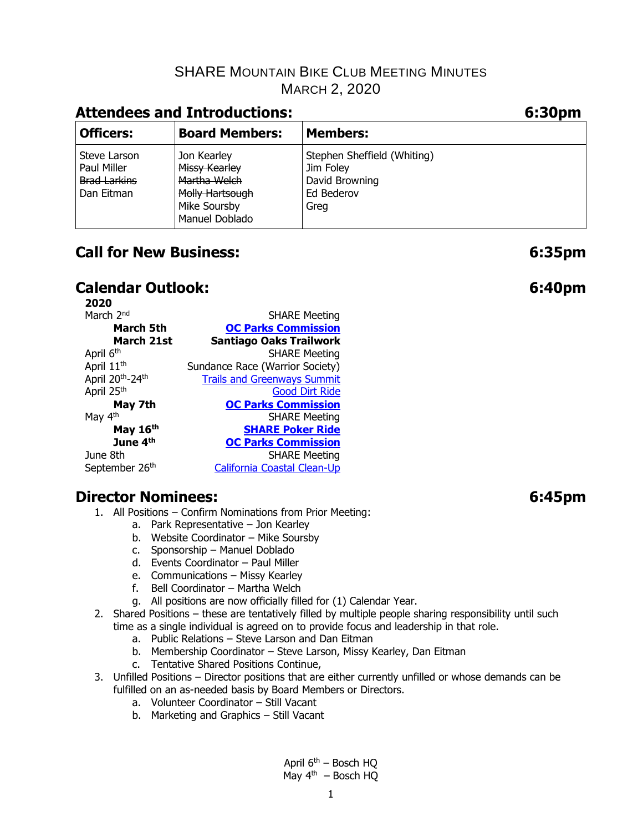## **Attendees and Introductions:**

| <b>Officers:</b>                                                 | <b>Board Members:</b>                                                           | <b>Members:</b>                                                                  |
|------------------------------------------------------------------|---------------------------------------------------------------------------------|----------------------------------------------------------------------------------|
| Steve Larson<br>Paul Miller<br><b>Brad Larkins</b><br>Dan Eitman | Jon Kearley<br>Missy Kearley<br>Martha Welch<br>Molly Hartsough<br>Mike Soursby | Stephen Sheffield (Whiting)<br>Jim Foley<br>David Browning<br>Ed Bederov<br>Greg |
|                                                                  | Manuel Doblado                                                                  |                                                                                  |

# **Call for New Business: 6:35pm**

## **Calendar Outlook: 6:40pm**

| 2020                                     |                                    |
|------------------------------------------|------------------------------------|
| March 2 <sup>nd</sup>                    | <b>SHARE Meeting</b>               |
| March 5th                                | <b>OC Parks Commission</b>         |
| March 21st                               | <b>Santiago Oaks Trailwork</b>     |
| April 6 <sup>th</sup>                    | <b>SHARE Meeting</b>               |
| April 11 <sup>th</sup>                   | Sundance Race (Warrior Society)    |
| April 20 <sup>th</sup> -24 <sup>th</sup> | <b>Trails and Greenways Summit</b> |
| April 25 <sup>th</sup>                   | <b>Good Dirt Ride</b>              |
| May 7th                                  | <b>OC Parks Commission</b>         |
| May 4th                                  | <b>SHARE Meeting</b>               |
| May 16th                                 | <b>SHARE Poker Ride</b>            |
| June 4 <sup>th</sup>                     | <b>OC Parks Commission</b>         |
| June 8th                                 | <b>SHARE Meeting</b>               |
| September 26 <sup>th</sup>               | <b>California Coastal Clean-Up</b> |

### **Director Nominees: 6:45pm**

- 1. All Positions Confirm Nominations from Prior Meeting:
	- a. Park Representative Jon Kearley
	- b. Website Coordinator Mike Soursby
	- c. Sponsorship Manuel Doblado
	- d. Events Coordinator Paul Miller
	- e. Communications Missy Kearley
	- f. Bell Coordinator Martha Welch
	- g. All positions are now officially filled for (1) Calendar Year.
- 2. Shared Positions these are tentatively filled by multiple people sharing responsibility until such time as a single individual is agreed on to provide focus and leadership in that role.
	- a. Public Relations Steve Larson and Dan Eitman
	- b. Membership Coordinator Steve Larson, Missy Kearley, Dan Eitman
	- c. Tentative Shared Positions Continue,
- 3. Unfilled Positions Director positions that are either currently unfilled or whose demands can be fulfilled on an as-needed basis by Board Members or Directors.
	- a. Volunteer Coordinator Still Vacant
	- b. Marketing and Graphics Still Vacant

April  $6<sup>th</sup>$  – Bosch HQ May  $4<sup>th</sup>$  – Bosch HO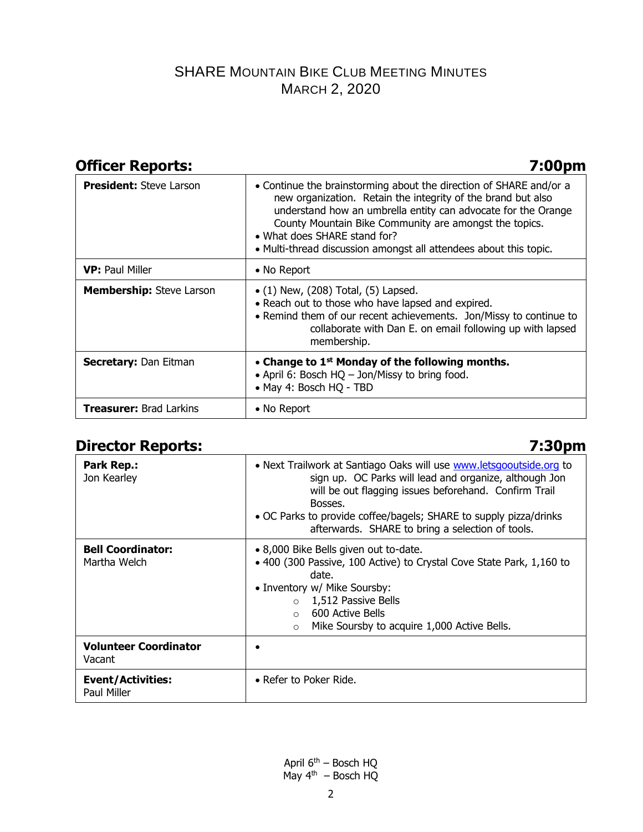## **Officer Reports: 7:00pm**

| <b>President: Steve Larson</b>  | • Continue the brainstorming about the direction of SHARE and/or a<br>new organization. Retain the integrity of the brand but also<br>understand how an umbrella entity can advocate for the Orange<br>County Mountain Bike Community are amongst the topics.<br>• What does SHARE stand for?<br>• Multi-thread discussion amongst all attendees about this topic. |
|---------------------------------|--------------------------------------------------------------------------------------------------------------------------------------------------------------------------------------------------------------------------------------------------------------------------------------------------------------------------------------------------------------------|
| <b>VP: Paul Miller</b>          | • No Report                                                                                                                                                                                                                                                                                                                                                        |
| <b>Membership:</b> Steve Larson | $\bullet$ (1) New, (208) Total, (5) Lapsed.<br>• Reach out to those who have lapsed and expired.<br>• Remind them of our recent achievements. Jon/Missy to continue to<br>collaborate with Dan E. on email following up with lapsed<br>membership.                                                                                                                 |
| <b>Secretary: Dan Eitman</b>    | • Change to $1st$ Monday of the following months.<br>• April 6: Bosch HQ - Jon/Missy to bring food.<br>• May 4: Bosch HQ - TBD                                                                                                                                                                                                                                     |
| <b>Treasurer: Brad Larkins</b>  | • No Report                                                                                                                                                                                                                                                                                                                                                        |

## **Director Reports: 7:30pm**

| Park Rep.:<br>Jon Kearley                | • Next Trailwork at Santiago Oaks will use <b>www.letsgooutside.org</b> to<br>sign up. OC Parks will lead and organize, although Jon<br>will be out flagging issues beforehand. Confirm Trail<br>Bosses.<br>• OC Parks to provide coffee/bagels; SHARE to supply pizza/drinks<br>afterwards. SHARE to bring a selection of tools. |
|------------------------------------------|-----------------------------------------------------------------------------------------------------------------------------------------------------------------------------------------------------------------------------------------------------------------------------------------------------------------------------------|
| <b>Bell Coordinator:</b><br>Martha Welch | • 8,000 Bike Bells given out to-date.<br>• 400 (300 Passive, 100 Active) to Crystal Cove State Park, 1,160 to<br>date.<br>• Inventory w/ Mike Soursby:<br>1,512 Passive Bells<br>$\circ$<br>600 Active Bells<br>$\cap$<br>Mike Soursby to acquire 1,000 Active Bells.<br>$\circ$                                                  |
| <b>Volunteer Coordinator</b><br>Vacant   |                                                                                                                                                                                                                                                                                                                                   |
| <b>Event/Activities:</b><br>Paul Miller  | • Refer to Poker Ride.                                                                                                                                                                                                                                                                                                            |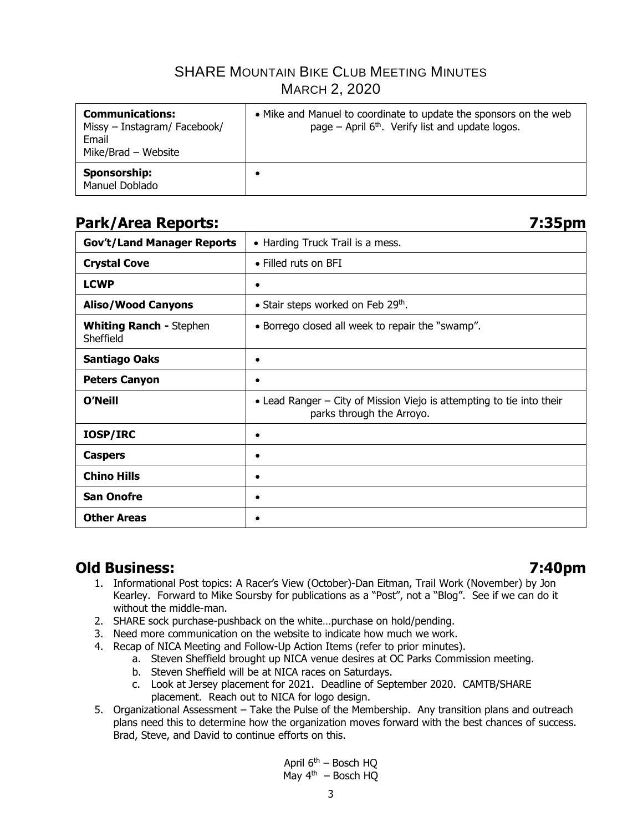| <b>Communications:</b><br>Missy - Instagram/ Facebook/<br>Email<br>Mike/Brad - Website | • Mike and Manuel to coordinate to update the sponsors on the web<br>page – April $6th$ . Verify list and update logos. |
|----------------------------------------------------------------------------------------|-------------------------------------------------------------------------------------------------------------------------|
| Sponsorship:<br>Manuel Doblado                                                         |                                                                                                                         |

## **Park/Area Reports: 7:35pm**

**Gov't/Land Manager Reports** • Harding Truck Trail is a mess.

| <b>Crystal Cove</b>                         | • Filled ruts on BFI                                                                               |
|---------------------------------------------|----------------------------------------------------------------------------------------------------|
| <b>LCWP</b>                                 | $\bullet$                                                                                          |
| <b>Aliso/Wood Canyons</b>                   | • Stair steps worked on Feb 29th.                                                                  |
| <b>Whiting Ranch - Stephen</b><br>Sheffield | • Borrego closed all week to repair the "swamp".                                                   |
| <b>Santiago Oaks</b>                        | $\bullet$                                                                                          |
| <b>Peters Canyon</b>                        | $\bullet$                                                                                          |
| <b>O'Neill</b>                              | • Lead Ranger – City of Mission Viejo is attempting to tie into their<br>parks through the Arroyo. |
| IOSP/IRC                                    | ٠                                                                                                  |
| <b>Caspers</b>                              | ٠                                                                                                  |
| <b>Chino Hills</b>                          | $\bullet$                                                                                          |
| <b>San Onofre</b>                           | ٠                                                                                                  |
| <b>Other Areas</b>                          |                                                                                                    |

### **Old Business: 7:40pm**

- 1. Informational Post topics: A Racer's View (October)-Dan Eitman, Trail Work (November) by Jon Kearley. Forward to Mike Soursby for publications as a "Post", not a "Blog". See if we can do it without the middle-man.
- 2. SHARE sock purchase-pushback on the white…purchase on hold/pending.
- 3. Need more communication on the website to indicate how much we work.
- 4. Recap of NICA Meeting and Follow-Up Action Items (refer to prior minutes).
	- a. Steven Sheffield brought up NICA venue desires at OC Parks Commission meeting.
	- b. Steven Sheffield will be at NICA races on Saturdays.
	- c. Look at Jersey placement for 2021. Deadline of September 2020. CAMTB/SHARE placement. Reach out to NICA for logo design.
- 5. Organizational Assessment Take the Pulse of the Membership. Any transition plans and outreach plans need this to determine how the organization moves forward with the best chances of success. Brad, Steve, and David to continue efforts on this.

April  $6<sup>th</sup>$  – Bosch HQ May  $4<sup>th</sup>$  – Bosch HO